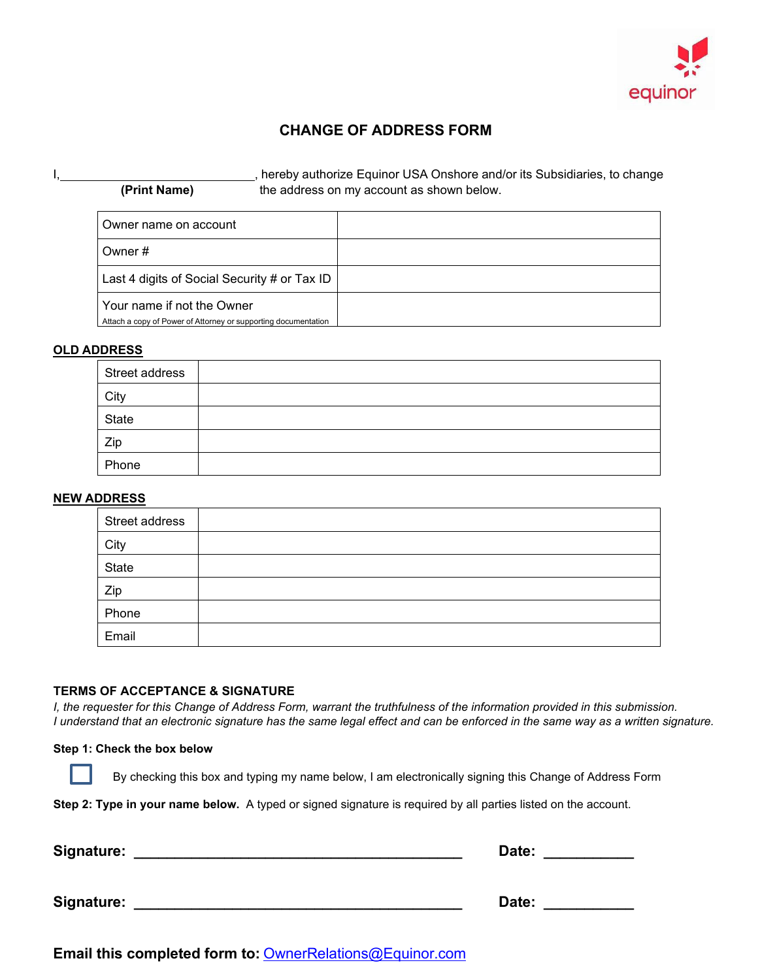

# **CHANGE OF ADDRESS FORM**

|              | , hereby authorize Equinor USA Onshore and/or its Subsidiaries, to change |
|--------------|---------------------------------------------------------------------------|
| (Print Name) | the address on my account as shown below.                                 |

| Owner name on account                                                                        |  |
|----------------------------------------------------------------------------------------------|--|
| Owner#                                                                                       |  |
| Last 4 digits of Social Security # or Tax ID                                                 |  |
| Your name if not the Owner<br>Attach a copy of Power of Attorney or supporting documentation |  |

### **OLD ADDRESS**

| Street address |  |
|----------------|--|
| City           |  |
| State          |  |
| Zip            |  |
| Phone          |  |

## **NEW ADDRESS**

| Street address |  |
|----------------|--|
| City           |  |
| State          |  |
| Zip            |  |
| Phone          |  |
| Email          |  |

#### **TERMS OF ACCEPTANCE & SIGNATURE**

*I, the requester for this Change of Address Form, warrant the truthfulness of the information provided in this submission. I understand that an electronic signature has the same legal effect and can be enforced in the same way as a written signature.*

#### **Step 1: Check the box below**

By checking this box and typing my name below, I am electronically signing this Change of Address Form

**Step 2: Type in your name below.** A typed or signed signature is required by all parties listed on the account.

| <b>Signature:</b> | Date: |
|-------------------|-------|
|                   |       |
| Signature:        | Date: |

**Email this completed form to:** [OwnerRelations@Equinor.com](mailto:OwnerRelations@Equinor.com)